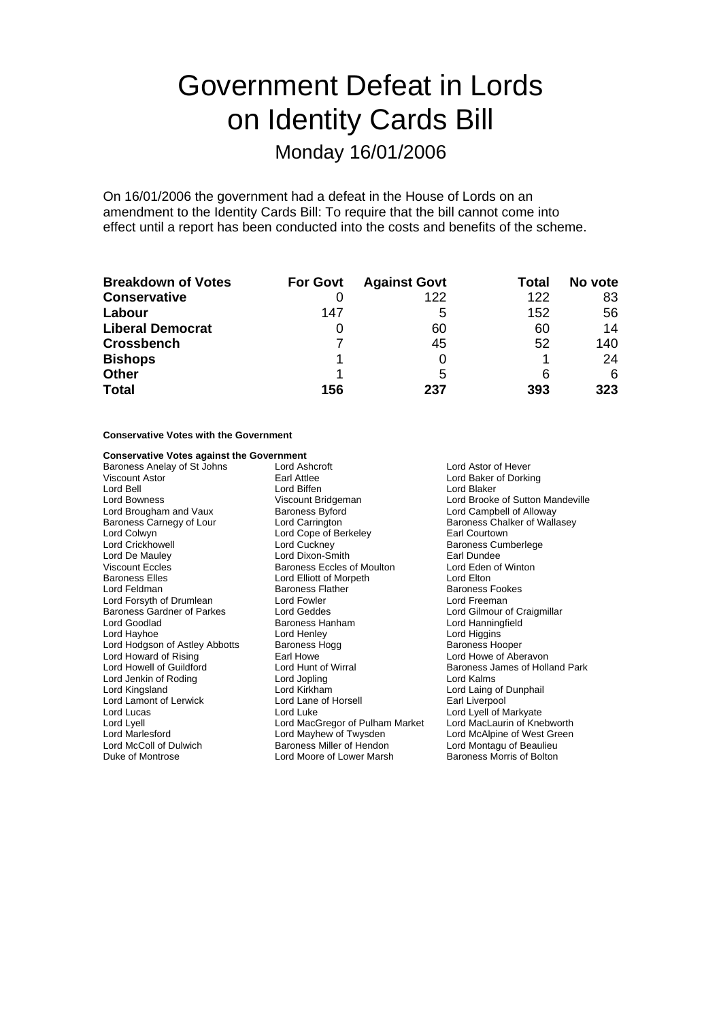# Government Defeat in Lords on Identity Cards Bill

## Monday 16/01/2006

On 16/01/2006 the government had a defeat in the House of Lords on an amendment to the Identity Cards Bill: To require that the bill cannot come into effect until a report has been conducted into the costs and benefits of the scheme.

| <b>Breakdown of Votes</b> | <b>For Govt</b> | <b>Against Govt</b> | Total | No vote |
|---------------------------|-----------------|---------------------|-------|---------|
| <b>Conservative</b>       |                 | 122                 | 122   | 83      |
| Labour                    | 147             | 5                   | 152   | 56      |
| <b>Liberal Democrat</b>   | 0               | 60                  | 60    | 14      |
| <b>Crossbench</b>         |                 | 45                  | 52    | 140     |
| <b>Bishops</b>            |                 |                     |       | 24      |
| <b>Other</b>              |                 | 5                   | 6     | 6       |
| <b>Total</b>              | 156             | 237                 | 393   | 323     |

### **Conservative Votes with the Government**

### **Conservative Votes against the Government**

Baroness Anelay of St Johns Lord Ashcroft **Lord Ashcroft** Lord Ashcroft Lord Ashcroft Corresponding Lord Ashcroft<br>
Lord Astor Corresponding Lord Ashcroft Lord Ashcroft Dorki Lord Bell Lord Biffen Lord Blaker Lord Brougham and Vaux Baroness Byford Lord Campbell of Alloway<br>
Baroness Carnegy of Lour Lord Carrington Campbell of Mallasey Baroness Carnegy of Lour Lord Colwyn **Earl Collection** Lord Cope of Berkeley **Earl Courtown** Lord Crickhowell **Lord Cuckney** Cuckney **Baroness Cumberlege**<br>
Lord De Mauley **Baroness Cumberlege**<br>
Lord Dixon-Smith **Baroness Cumberless** Lord De Mauley **Lord Dixon-Smith** Earl Dundee Corresponding the Maulton Earl Dundee Corresponding to the Baroness Focles of Moulton **Earl Dundee** Corresponding to the Baroness Focles of Moulton **Earl Dundee** Corresponding Viscount Eccles **Baroness Eccles of Moulton** Lord Eden **Baroness Eccles of Moulton** Cord Eden **Cord Ether Cord Ethen** Cord Elion Baroness Elles Lord Elliott of Morpeth Lord Elton Lord Forsyth of Drumlean Baroness Gardner of Parkes Lord Geddes Lord Gilmour of Craigmillar Lord Goodlad Baroness Hanham Lord Hanningfield Lord Hodgson of Astley Abbotts<br>
Lord Howard of Rising Baroness I Lord Howell of Guildford Lord Hunt of Wirral Baroness James of Holland Park<br>
Lord Jenkin of Roding Lord Jopling Lord Treaty Lord Kalms Lord Jenkin of Roding **Lord Lord Jopling Lord Jopling** Lord Kalms<br>
Lord Kingsland Lord Cord Cirkham Lord Lord Laing Lord Kingsland Lord Kirkham Lord Laing of Dunphail Lord Lamont of Lerwick Lord Lord Lane<br>Lord Lucas Lord Luke Lord Lucas Lord Luke Lord Luke Lord Lord Lyell of Markyate<br>Lord Lyell Lord MacGregor of Pulham Market Lord MacLaurin of Knebworth Lord Lyell Lord MacGregor of Pulham Market<br>
Lord Marlesford **Lord Mayhew of Twysden** Lord McColl of Dulwich **Baroness Miller of Hendon** Lord Montagu of Beaulieu<br>
Lord Montrose Lord Moore of Lower Marsh Baroness Morris of Bolton Duke of Montrose **Lord Moore of Lower Marsh** Baroness Morris of Bolton

Raroness Flather **Baroness Flather** Baroness Fook<br>Lord Fowler Baroness Fook Lord Henley **Lord Higgins**<br> **Raroness Hong Communist Communist Baroness Hooper** Lord Howe Tearl Howe Cord Howe of Aberavon<br>Lord Hunt of Wirral Tearl Baroness James of Holl

**Lord Baker of Dorking** Viscount Bridgeman **Lord Brooke of Sutton Mandeville**<br> **Baroness Byford Lord Campbell of Alloway** Lord McAlpine of West Green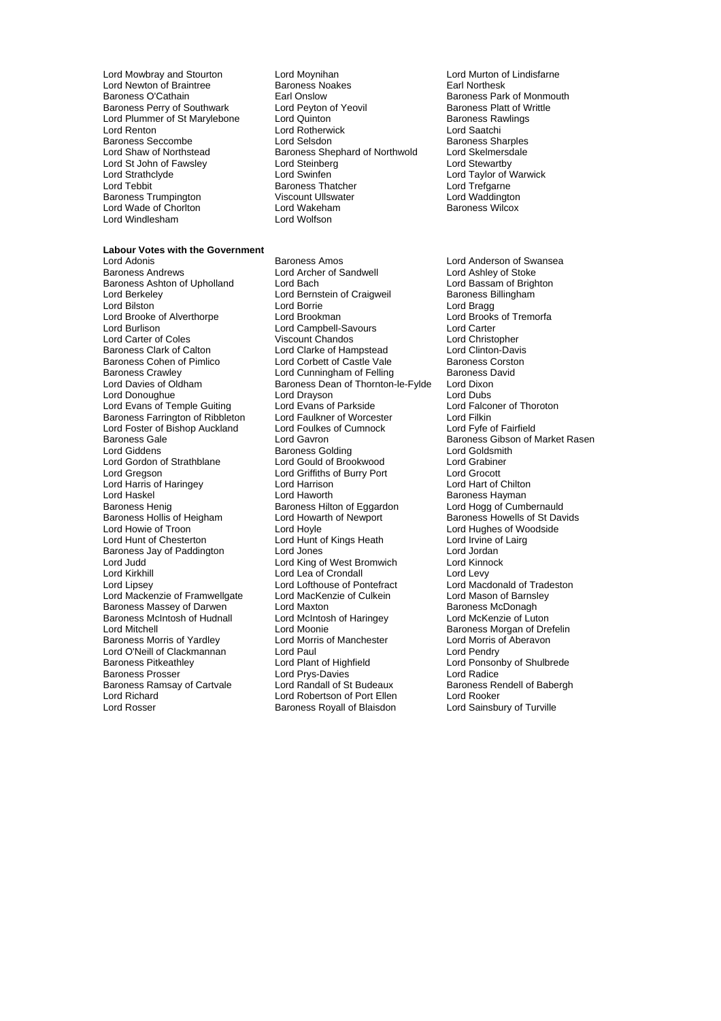Lord Newton of Braintree **Baroness No.**<br>Baroness O'Cathain **Baroness Earl Onslow** Lord St John of Fawsley **Lord Steinberg**<br>
Lord Strathclyde **Lord Steinberg** Lord Wade of Chorlton **Lord Wakeham**<br>1995 Lord Windlesham Baroness Wilcox Lord Windlesham

**Labour Votes with the Government**

Baroness Ashton of Upholland Lord Bach Lord Bach Lord Bassam of Brighton Lord Bassam of Brighton Lord Bernstein of Craigweil Cord Baroness Billingham Lord Berkeley Lord Bernstein of Craigweil Lord Bilston **Communist Communist Communist Communist Communist Communist Communist Communist Communist Communist Communist Communist Communist Communist Communist Communist Communist Communist Communist Communist Communis** Lord Brooke of Alverthorpe Lord Brookman Lord Brooks of Tremorfa Lord Carter of Coles **Viscount Chandos** Chandos Lord Christopher<br>
Baroness Clark of Calton **Lord Clarke of Hampstead** Lord Clinton-Davis Baroness Clark of Calton **Lord Clarke of Hampstead** Lord Clinton-Davis<br>Baroness Cohen of Pimlico **Lord Corbett of Castle Vale** Baroness Corston Baroness Cohen of Pimlico Lord Corbett of Castle Vale Baroness Corstonant Corp.<br>Baroness Crawley Lord Cunningham of Felling Baroness David Baroness Crawley **Lord Cunningham of Felling**<br>
Lord Davies of Oldham Baroness Dean of Thornton-Lord Donoughue Lord Drayson Lord Drayson<br>
Lord Evans of Temple Guiting Lord Evans of Parkside Lord Exans of Thoroton Lord Evans of Temple Guiting Lord Evans of Parkside<br>Baroness Farrington of Ribbleton Lord Faulkner of Worcester Baroness Farrington of Ribbleton Lord Faulkner of Worcester Lord Filkin<br>
Lord Foster of Bishop Auckland Lord Foulkes of Cumnock Lord Fyfe of Fairfield Lord Foster of Bishop Auckland Lord Foulkes of Cumnock<br>Baroness Gale **Lord Fairman** Lord Gavron Baroness Gale <sup>1</sup> 1986 Lord Gavron 1986 Baroness Gibson of Market Rasen<br>Lord Giddens 1986 Baroness Golding 1986 Lord Goldsmith Lord Gordon of Strathblane Lord Gould of Brookwood Lord Grabiner<br>
Lord Gregson Lord Griffiths of Burry Port Lord Grocott Lord Harris of Haringey Lord Harrison<br>
Lord Haskel Cord Haworth Baroness Henig Baroness Hilton of Eggardon Lord Hogg of Cumbernauld<br>Baroness Hollis of Heigham Lord Howarth of Newport Baroness Howells of St Dav Baroness Hollis of Heigham Lord Howarth of Newport Baroness Howells of St Davids<br>
Lord Hoyle Cord Hoyle Lord Hoyle Lord Hughes of Woodside Lord Hunt of Chesterton Lord Hunt of Kings Heath Lord Irvine of Lairg Baroness Jay of Paddington Lord Jones<br>
Lord Cord King of West Bromwich Lord Kinnock<br>
Lord Cord Kinnock Lord Kinnock Lord Kirkhill **Lord Lea of Crondall** Lord Lipsey Lord Lofthouse of Pontefract Lord Macdonald of Tradeston<br>
Lord Mackenzie of Framwellgate Lord MacKenzie of Culkein Lord Mason of Barnsley Lord Mackenzie of Framwellgate Lord MacKenzie of Culkein Lord Mason of Barnsl<br>Baroness Massey of Darwen Lord Maxton Culkein Baroness McDonagh Baroness Massey of Darwen Lord Maxton Lord Maxton Baroness McDonagh<br>
Baroness McIntosh of Hudnall Lord McIntosh of Haringey Lord McKenzie of Luton Baroness McIntosh of Hudnall Lord McIntos<br>Lord Mitchell **Lord Moonie** Baroness Morris of Yardley **Lord Morris of Manchester** Lord Morris of Manchester Lord Morris of Aberavon Lord Pendry<br>
Lord O'Neill of Clackmannan Lord Paul Lord O'Neill of Clackmannan Lord Paul<br>
Baroness Pitkeathley Lord Plant of Highfield Baroness Pitkeathley **Lord Plant of Highfield** Lord Ponsonby of Shulbrede<br>Baroness Prosser **Lord Prime Lord Prime Consoling Consoli**tion Cord Radice Baroness Prosser in Europe Lord Prys-Davies<br>
Baroness Ramsay of Cartvale Lord Randall of St Budeaux Baroness Ramsay of Cartvale Lord Randall of St Budeaux Baroness Rendell of Babergh<br>
Lord Richard Lord Robertson of Port Ellen Lord Rooker Lord Richard **Lord Robertson of Port Ellen** Lord Rooker<br>
Lord Rosser **Contains Baroness Royall of Blaisdon** Lord Sainsbury of Turville

Lord Mowbray and Stourton **Lord Moynihan**<br>
Lord Newton of Braintree **Conney Baroness Noakes Lord Murton Carl Northesk**<br>
Lord Newton of Braintree **Baroness Noakes** Earl Onslow **Baroness Park of Monmouth Lord Peyton of Yeovilly**<br>
Baroness Platt of Writtle Baroness Perry of Southwark Lord Peyton of Yeovil Baroness Platt of W<br>
Lord Plummer of St Marylebone Lord Quinton Corress Rawlings Lord Plummer of St Marylebone Lord Quinton Corress Raylings Raylings Raylings Raylings Raylings Raylings Raylings Raylings Raylings Raylings Raylings Raylings Raylings Raylings Raylings Raylings Raylings Raylings Raylings **Lord Rotherwick Lord Saatchi**<br>
Lord Selsdon **Lord Saatchi**<br>
Baroness Sharples Baroness Seccombe<br>
Lord Selsdon Baroness Sharples<br>
Lord Shaw of Northstead Baroness Shephard of Northwold Lord Skelmersdale Lord Shaw of Northstead Baroness Shephard of Northwold Lord Skelmersdale Lord Tebbit **Communist Communist Communist Communist Communist Communist Communist Communist Communist Communist Communist Communist Communist Communist Communist Communist Communist Communist Communist Communist Communist** Baroness Trumpington **Mater Communist Communist Communist Communist Communist Communist Communist Communist Co**<br>
Lord Wadde of Choriton **Lord Wakeham** Communist Communist Communist Communist Communist Communist Communist C

Lord Adonis<br>
Lord Adonis **Baroness Amos**<br>
Baroness Andrews **Lord Archer of Sandwell Lord Ashley of Stoke**<br>
Lord Ashley of Stoke Lord Archer of Sandwell Lord Ashley of Stoke<br>
Lord Bach<br>
Lord Bassam of Brighton Lord Campbell-Savours<br>
Viscount Chandos<br>
Lord Christopher Exaroness Dean of Thornton-le-Fylde Lord Dixon<br>Lord Dravson Lord Dubs Baroness Golding<br>Lord Gould of Brookwood Lord Griffiths of Burry Port Lord Grocott<br>
Lord Harrison Cord Lord Hart of Chilton Lord King of West Bromwich Lord Kinnock Lord Lea of Crondall Lord Moonie<br>
Lord Morris of Manchester<br>
Lord Morris of Aberavon Baroness Royall of Blaisdon

Lord Taylor of Warwick<br>Lord Trefgarne

Baroness Hayman Lord Hughes of Woodside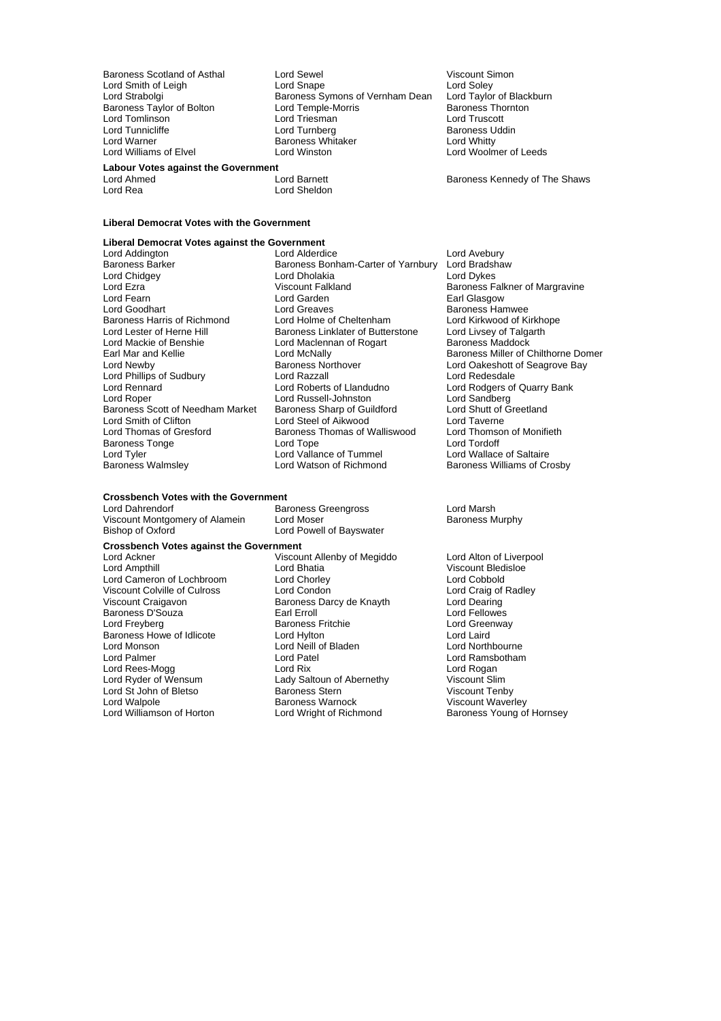Lord Tomlinson **Lord Triesman**<br>
Lord Tunnicliffe **Lord Turnberg** Lord Warner Lord Warner Lord Williams of Elvel Lord Winston Baroness Whitaker<br>Lord Williams of Elvel Lord Winston

Baroness Scotland of Asthal Lord Sewel Viscount Simon Lord Smape Cord Snape Lord Soley<br>
Lord Strabolgi Cord Strabolgi Cord Care Baroness Symons of Vernham Dean Lord Taylor of Blackburn Earoness Symons of Vernham Dean Lord Taylor of Black<br>Lord Temple-Morris Baroness Thornton Baroness Taylor of Bolton Lord Temple-Morris **Baroness Thornton Corporation**<br>
Lord Tomlinson Lord Triesman Lord Triesman Lord Tunnicliffe **Lord Turnberg** Lord Turnberg **Baroness Uddin**<br>
Lord Warner **Baroness Whitaker Baroness Whitaker** Lord Whitty

**Labour Votes against the Government** Lord Ahmed Lord Barnett **Baroness Kennedy of The Shaws** 

Lord Rea Lord Sheldon

#### **Liberal Democrat Votes with the Government**

#### **Liberal Democrat Votes against the Government**

Lord Chidgey Lord Dholakia Lord Dykes Lord Phillips of Sudbury

Lord Addington Lord Alderdice Lord Avebury Baroness Barker Baroness Bonham-Carter of Yarnbury Lord Bradshaw<br>Lord Chidgev Lord Dholakia Lord Bradshaw Lord Dykes Lord Ezra <sup>V</sup>iscount Falkland Baroness Falkner of Margravine<br>
Lord Fearn Cord Garden Baroness Falkner of Margravine Lord Goodhart **Lord Greaves** Cord Greaves **Baroness Hamwee**<br>Baroness Harris of Richmond Lord Holme of Cheltenham Lord Kirkwood of Kirkhope Baroness Harris of Richmond Lord Holme of Cheltenham Lord Kirkwood of Kirkhoped Lord Lester of Herne Hill Cord Lester of Herne Hill Cord Lester of Herne Hill Cord Lester of Herne Hill Cord Lester of Herne Hill Cord Lester Lord Linklater of Butterstone Lord Mackie of Benshie Cord Maclennan of Rogart Baroness Maddock<br>
Earl Mar and Kellie Cord McNally Cord McNally Baroness Miller of C Earl Mar and Kellie **Early Access 20** Lord McNally **Baroness Miller of Chilthorne Domer**<br>
Lord Mexample **Baroness Northover**<br>
Lord Oakeshott of Seagrove Bav **Example 20 Baroness Northover Lord Oakeshott of Seagrove Bay**<br>
Lord Razzall<br>
Lord Razzall<br>
Lord Redesdale Lord Rennard Lord Roberts of Llandudno Lord Rodgers of Quarry Bank Lord Russell-Johnston Lord Sandberg<br>
Raroness Sharp of Guildford Lord Shutt of Greetland Baroness Scott of Needham Market Baroness Sharp of Guildford Lord Shutt of Current Corp.<br>
Lord Smith of Clifton Lord Steel of Aikwood Lord Taverne Lord Smith of Clifton **Lord Steel of Aikwood** Lord Taverne Lord Taverne<br>
Lord Thomas of Gresford Baroness Thomas of Walliswood Lord Thomson of Monifieth Baroness Thomas of Walliswood Lord Thomson Lord Tope Baroness Tonge The Lord Tope Cord Tope Cord Tordoff<br>
Lord Tvler Cord Tummel<br>
Lord Tvler Cord Vallace of Tummel<br>
Lord Tvler Cord Vallace of Saltaire Lord Vallance of Tummel Baroness Walmsley Lord Watson of Richmond Baroness Williams of Crosby

#### **Crossbench Votes with the Government**

Lord Dahrendorf Baroness Greengross Lord Marsh Viscount Montgomery of Alamein Lord Moser **Baroness Murphy** Baroness Murphy Bishop of Oxford **Example 2** Lord Powell of Bayswater **Crossbench Votes against the Government**

Lord Cameron of Lochbroom Lord Chorley Lord Cobbold<br>
Lord Cameron of Lochbroom Lord Chorley Lord Cobbold<br>
Lord Craig of Radley Lord Condon Lord Craig of Radley Viscount Colville of Culross Lord Condon Lord Craig of Viscount Colville of Culross Lord Condon Craig Condon Lord Craig of Viscount Craig of Viscount Craig of Radio Baroness Darcy de Knayth Lord Dearing Baroness D'Souza Earl Erroll Lord Fellowes Baroness Howe of Idlicote Lord Hylton Lord Laird Lord Monson **Lord Neill of Bladen**<br>
Lord Palmer **Lord Patel** Lord Rees-Mogg Lord Ryder of Wensum Lady Saltoun of Abernethy Viscount Slim<br>
Lord St John of Bletso Carroll Baroness Stern Viscount Tenby Lord St John of Bletso **Baroness Stern Charlors** Viscount Tenby<br>
Lord Walpole **Baroness Warnock** Viscount Waverley Lord Walpole<br>
Lord Williamson of Horton<br>
Lord Wright of Richmond

Lord Ackner The Communic Corporation of Viscount Allenby of Megiddo Corporation Lord Alton of Liverpool<br>
Lord Ampthill Corporation Lord Bhatia Corporation Corporation Corporation Corporation Corporation Corporation Lord Bhatia **Campion Company Company** Viscount Bledisloe<br>
Lord Chorley **Lord Cobbold** Baroness Darcy de Knayth Lord Dearing<br>Earl Erroll Lord Fellowes **Baroness Fritchie Lord Greenway Report Cord Greenway Lord Haird**<br>Lord Hylton Lord Patel **Lord Ramsbotham**<br>
Lord Rix **Lord Rogan** 

Lord Woolmer of Leeds

Earl Glasgow

Baroness Young of Hornsey